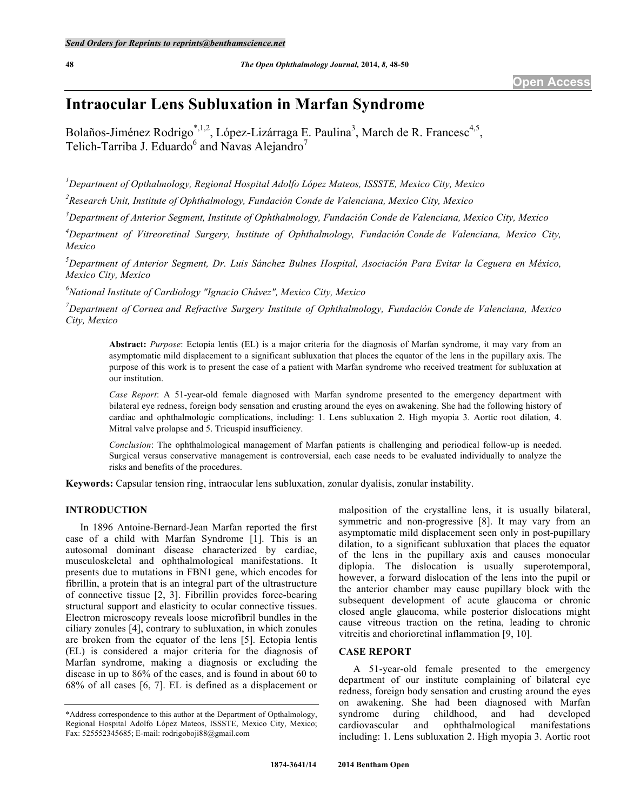# **Intraocular Lens Subluxation in Marfan Syndrome**

Bolaños-Jiménez Rodrigo<sup>\*,1,2</sup>, López-Lizárraga E. Paulina<sup>3</sup>, March de R. Francesc<sup>4,5</sup>, Telich-Tarriba J. Eduardo<sup>6</sup> and Navas Alejandro<sup>7</sup>

*1 Department of Opthalmology, Regional Hospital Adolfo López Mateos, ISSSTE, Mexico City, Mexico*

*2 Research Unit, Institute of Ophthalmology, Fundación Conde de Valenciana, Mexico City, Mexico*

*3 Department of Anterior Segment, Institute of Ophthalmology, Fundación Conde de Valenciana, Mexico City, Mexico*

*4 Department of Vitreoretinal Surgery, Institute of Ophthalmology, Fundación Conde de Valenciana, Mexico City, Mexico*

*5 Department of Anterior Segment, Dr. Luis Sánchez Bulnes Hospital, Asociación Para Evitar la Ceguera en México, Mexico City, Mexico*

*6 National Institute of Cardiology "Ignacio Chávez", Mexico City, Mexico*

*7 Department of Cornea and Refractive Surgery Institute of Ophthalmology, Fundación Conde de Valenciana, Mexico City, Mexico*

**Abstract:** *Purpose*: Ectopia lentis (EL) is a major criteria for the diagnosis of Marfan syndrome, it may vary from an asymptomatic mild displacement to a significant subluxation that places the equator of the lens in the pupillary axis. The purpose of this work is to present the case of a patient with Marfan syndrome who received treatment for subluxation at our institution.

*Case Report*: A 51-year-old female diagnosed with Marfan syndrome presented to the emergency department with bilateral eye redness, foreign body sensation and crusting around the eyes on awakening. She had the following history of cardiac and ophthalmologic complications, including: 1. Lens subluxation 2. High myopia 3. Aortic root dilation, 4. Mitral valve prolapse and 5. Tricuspid insufficiency.

*Conclusion*: The ophthalmological management of Marfan patients is challenging and periodical follow-up is needed. Surgical versus conservative management is controversial, each case needs to be evaluated individually to analyze the risks and benefits of the procedures.

**Keywords:** Capsular tension ring, intraocular lens subluxation, zonular dyalisis, zonular instability.

## **INTRODUCTION**

In 1896 Antoine-Bernard-Jean Marfan reported the first case of a child with Marfan Syndrome [1]. This is an autosomal dominant disease characterized by cardiac, musculoskeletal and ophthalmological manifestations. It presents due to mutations in FBN1 gene, which encodes for fibrillin, a protein that is an integral part of the ultrastructure of connective tissue [2, 3]. Fibrillin provides force-bearing structural support and elasticity to ocular connective tissues. Electron microscopy reveals loose microfibril bundles in the ciliary zonules [4], contrary to subluxation, in which zonules are broken from the equator of the lens [5]. Ectopia lentis (EL) is considered a major criteria for the diagnosis of Marfan syndrome, making a diagnosis or excluding the disease in up to 86% of the cases, and is found in about 60 to 68% of all cases [6, 7]. EL is defined as a displacement or

malposition of the crystalline lens, it is usually bilateral, symmetric and non-progressive [8]. It may vary from an asymptomatic mild displacement seen only in post-pupillary dilation, to a significant subluxation that places the equator of the lens in the pupillary axis and causes monocular diplopia. The dislocation is usually superotemporal, however, a forward dislocation of the lens into the pupil or the anterior chamber may cause pupillary block with the subsequent development of acute glaucoma or chronic closed angle glaucoma, while posterior dislocations might cause vitreous traction on the retina, leading to chronic vitreitis and chorioretinal inflammation [9, 10].

#### **CASE REPORT**

A 51-year-old female presented to the emergency department of our institute complaining of bilateral eye redness, foreign body sensation and crusting around the eyes on awakening. She had been diagnosed with Marfan syndrome during childhood, and had developed cardiovascular and ophthalmological manifestations including: 1. Lens subluxation 2. High myopia 3. Aortic root

<sup>\*</sup>Address correspondence to this author at the Department of Opthalmology, Regional Hospital Adolfo López Mateos, ISSSTE, Mexico City, Mexico; Fax: 525552345685; E-mail: rodrigoboji88@gmail.com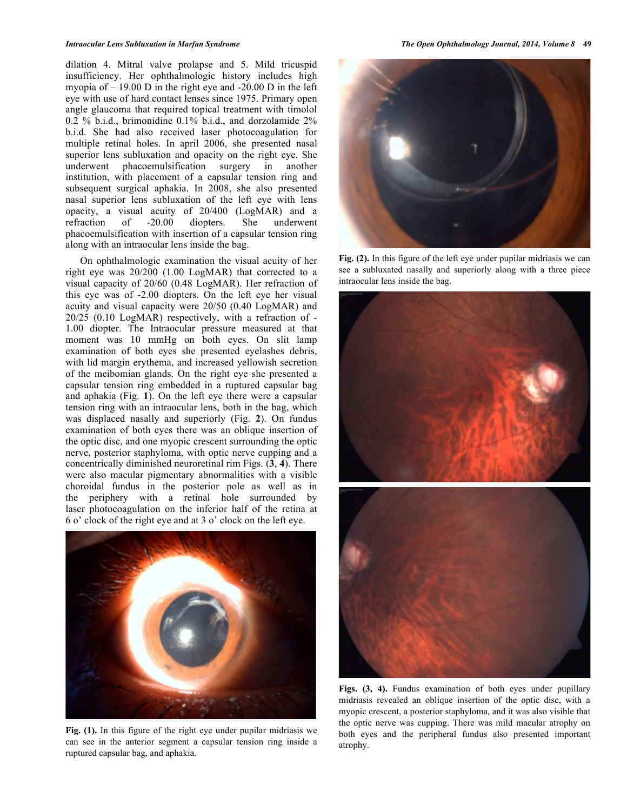dilation 4. Mitral valve prolapse and 5. Mild tricuspid insufficiency. Her ophthalmologic history includes high myopia of – 19.00 D in the right eye and -20.00 D in the left eye with use of hard contact lenses since 1975. Primary open angle glaucoma that required topical treatment with timolol 0.2 % b.i.d., brimonidine 0.1% b.i.d., and dorzolamide 2% b.i.d. She had also received laser photocoagulation for multiple retinal holes. In april 2006, she presented nasal superior lens subluxation and opacity on the right eye. She underwent phacoemulsification surgery in another institution, with placement of a capsular tension ring and subsequent surgical aphakia. In 2008, she also presented nasal superior lens subluxation of the left eye with lens opacity, a visual acuity of 20/400 (LogMAR) and a refraction of -20.00 diopters. She underwent phacoemulsification with insertion of a capsular tension ring along with an intraocular lens inside the bag.

On ophthalmologic examination the visual acuity of her right eye was 20/200 (1.00 LogMAR) that corrected to a visual capacity of 20/60 (0.48 LogMAR). Her refraction of this eye was of -2.00 diopters. On the left eye her visual acuity and visual capacity were 20/50 (0.40 LogMAR) and 20/25 (0.10 LogMAR) respectively, with a refraction of - 1.00 diopter. The Intraocular pressure measured at that moment was 10 mmHg on both eyes. On slit lamp examination of both eyes she presented eyelashes debris, with lid margin erythema, and increased yellowish secretion of the meibomian glands. On the right eye she presented a capsular tension ring embedded in a ruptured capsular bag and aphakia (Fig. **1**). On the left eye there were a capsular tension ring with an intraocular lens, both in the bag, which was displaced nasally and superiorly (Fig. **2**). On fundus examination of both eyes there was an oblique insertion of the optic disc, and one myopic crescent surrounding the optic nerve, posterior staphyloma, with optic nerve cupping and a concentrically diminished neuroretinal rim Figs. (**3**, **4**). There were also macular pigmentary abnormalities with a visible choroidal fundus in the posterior pole as well as in the periphery with a retinal hole surrounded by laser photocoagulation on the inferior half of the retina at 6 o' clock of the right eye and at 3 o' clock on the left eye.



**Fig. (1).** In this figure of the right eye under pupilar midriasis we can see in the anterior segment a capsular tension ring inside a ruptured capsular bag, and aphakia.



**Fig. (2).** In this figure of the left eye under pupilar midriasis we can see a subluxated nasally and superiorly along with a three piece intraocular lens inside the bag.



**Figs. (3, 4).** Fundus examination of both eyes under pupillary midriasis revealed an oblique insertion of the optic disc, with a myopic crescent, a posterior staphyloma, and it was also visible that the optic nerve was cupping. There was mild macular atrophy on both eyes and the peripheral fundus also presented important atrophy.